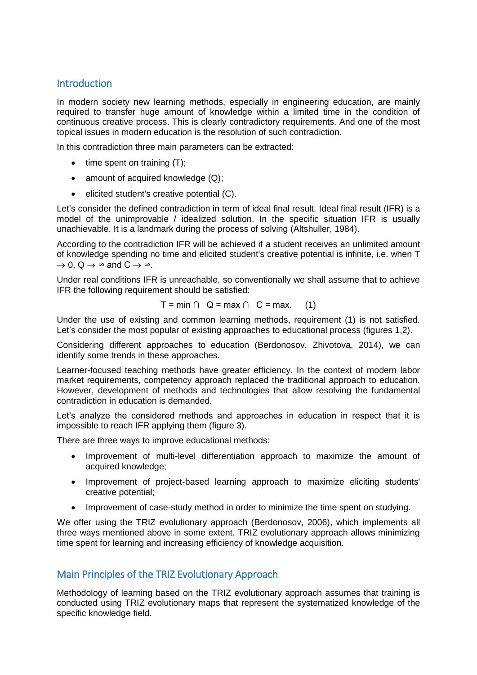## **Introduction**

In modern society new learning methods, especially in engineering education, are mainly required to transfer huge amount of knowledge within a limited time in the condition of continuous creative process. This is clearly contradictory requirements. And one of the most topical issues in modern education is the resolution of such contradiction.

In this contradiction three main parameters can be extracted:

- $\bullet$  time spent on training  $(T)$ ;
- amount of acquired knowledge  $(Q)$ ;
- $\bullet$  elicited student's creative potential  $(C)$ .

Let's consider the defined contradiction in term of ideal final result. Ideal final result (IFR) is a model of the unimprovable / idealized solution. In the specific situation IFR is usually unachievable. It is a landmark during the process of solving (Altshuller, 1984).

According to the contradiction IFR will be achieved if a student receives an unlimited amount of knowledge spending no time and elicited student's creative potential is infinite, i.e. when T  $\rightarrow$  0, Q  $\rightarrow \infty$  and C  $\rightarrow \infty$ .

Under real conditions IFR is unreachable, so conventionally we shall assume that to achieve IFR the following requirement should be satisfied:

$$
T = \min \cap Q = \max \cap C = \max. \quad (1)
$$

Under the use of existing and common learning methods, requirement (1) is not satisfied. Let's consider the most popular of existing approaches to educational process (figures 1,2).

Considering different approaches to education (Berdonosov, Zhivotova, 2014), we can identify some trends in these approaches.

Learner-focused teaching methods have greater efficiency. In the context of modern labor market requirements, competency approach replaced the traditional approach to education. However, development of methods and technologies that allow resolving the fundamental contradiction in education is demanded.

Let's analyze the considered methods and approaches in education in respect that it is impossible to reach IFR applying them (figure 3).

There are three ways to improve educational methods:

- Improvement of multi-level differentiation approach to maximize the amount of acquired knowledge;
- Improvement of project-based learning approach to maximize eliciting students' creative potential;
- Improvement of case-study method in order to minimize the time spent on studying.

We offer using the TRIZ evolutionary approach (Berdonosov, 2006), which implements all three ways mentioned above in some extent. TRIZ evolutionary approach allows minimizing time spent for learning and increasing efficiency of knowledge acquisition.

# Main Principles of the TRIZ Evolutionary Approach

Methodology of learning based on the TRIZ evolutionary approach assumes that training is conducted using TRIZ evolutionary maps that represent the systematized knowledge of the specific knowledge field.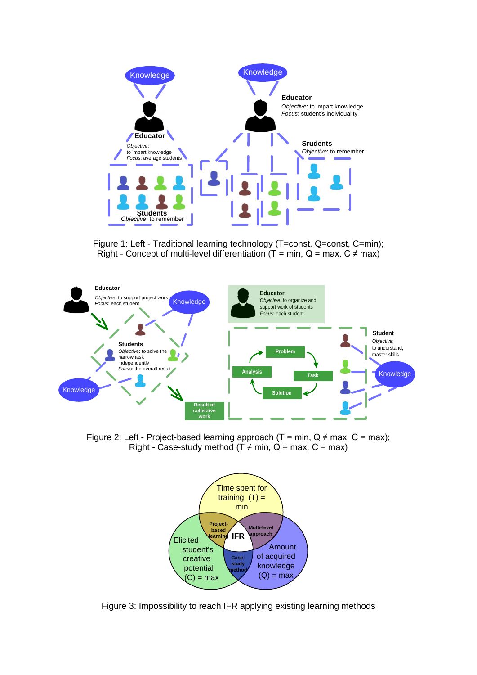

Figure 1: Left - Traditional learning technology (T=const, Q=const, C=min); Right - Concept of multi-level differentiation ( $T = min$ ,  $Q = max$ ,  $C \neq max$ )



Figure 2: Left - Project-based learning approach (T = min,  $Q \neq max$ , C = max); Right - Case-study method (T  $\neq$  min, Q = max, C = max)



Figure 3: Impossibility to reach IFR applying existing learning methods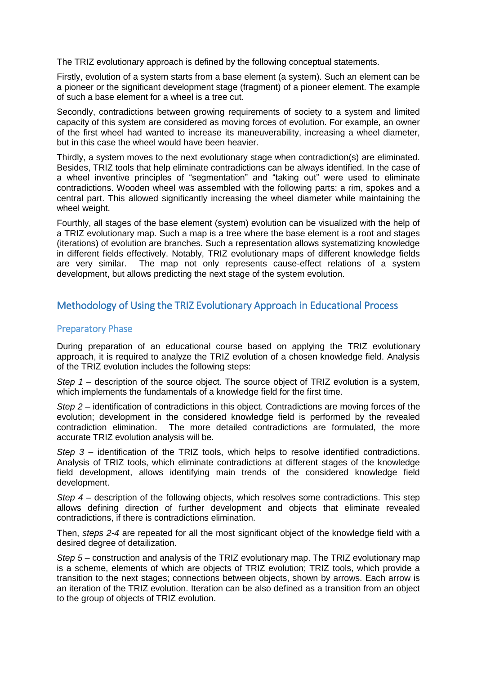The TRIZ evolutionary approach is defined by the following conceptual statements.

Firstly, evolution of a system starts from a base element (a system). Such an element can be a pioneer or the significant development stage (fragment) of a pioneer element. The example of such a base element for a wheel is a tree cut.

Secondly, contradictions between growing requirements of society to a system and limited capacity of this system are considered as moving forces of evolution. For example, an owner of the first wheel had wanted to increase its maneuverability, increasing a wheel diameter, but in this case the wheel would have been heavier.

Thirdly, a system moves to the next evolutionary stage when contradiction(s) are eliminated. Besides, TRIZ tools that help eliminate contradictions can be always identified. In the case of a wheel inventive principles of "segmentation" and "taking out" were used to eliminate contradictions. Wooden wheel was assembled with the following parts: a rim, spokes and a central part. This allowed significantly increasing the wheel diameter while maintaining the wheel weight.

Fourthly, all stages of the base element (system) evolution can be visualized with the help of a TRIZ evolutionary map. Such a map is a tree where the base element is a root and stages (iterations) of evolution are branches. Such a representation allows systematizing knowledge in different fields effectively. Notably, TRIZ evolutionary maps of different knowledge fields are very similar. The map not only represents cause-effect relations of a system development, but allows predicting the next stage of the system evolution.

# Methodology of Using the TRIZ Evolutionary Approach in Educational Process

## Preparatory Phase

During preparation of an educational course based on applying the TRIZ evolutionary approach, it is required to analyze the TRIZ evolution of a chosen knowledge field. Analysis of the TRIZ evolution includes the following steps:

*Step 1* – description of the source object. The source object of TRIZ evolution is a system, which implements the fundamentals of a knowledge field for the first time.

*Step 2* – identification of contradictions in this object. Contradictions are moving forces of the evolution; development in the considered knowledge field is performed by the revealed contradiction elimination. The more detailed contradictions are formulated, the more accurate TRIZ evolution analysis will be.

*Step 3* – identification of the TRIZ tools, which helps to resolve identified contradictions. Analysis of TRIZ tools, which eliminate contradictions at different stages of the knowledge field development, allows identifying main trends of the considered knowledge field development.

*Step 4* – description of the following objects, which resolves some contradictions. This step allows defining direction of further development and objects that eliminate revealed contradictions, if there is contradictions elimination.

Then, *steps 2-4* are repeated for all the most significant object of the knowledge field with a desired degree of detailization.

*Step 5* – construction and analysis of the TRIZ evolutionary map. The TRIZ evolutionary map is a scheme, elements of which are objects of TRIZ evolution; TRIZ tools, which provide a transition to the next stages; connections between objects, shown by arrows. Each arrow is an iteration of the TRIZ evolution. Iteration can be also defined as a transition from an object to the group of objects of TRIZ evolution.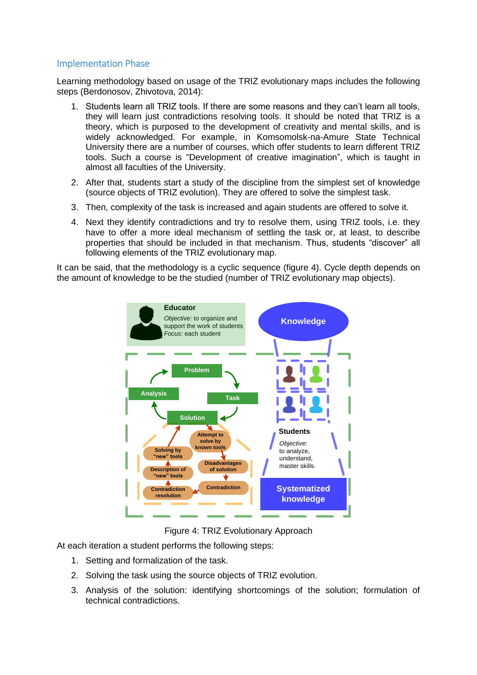## Implementation Phase

Learning methodology based on usage of the TRIZ evolutionary maps includes the following steps (Berdonosov, Zhivotova, 2014):

- 1. Students learn all TRIZ tools. If there are some reasons and they can't learn all tools, they will learn just contradictions resolving tools. It should be noted that TRIZ is a theory, which is purposed to the development of creativity and mental skills, and is widely acknowledged. For example, in Komsomolsk-na-Amure State Technical University there are a number of courses, which offer students to learn different TRIZ tools. Such a course is "Development of creative imagination", which is taught in almost all faculties of the University.
- 2. After that, students start a study of the discipline from the simplest set of knowledge (source objects of TRIZ evolution). They are offered to solve the simplest task.
- 3. Then, complexity of the task is increased and again students are offered to solve it.
- 4. Next they identify contradictions and try to resolve them, using TRIZ tools, i.e. they have to offer a more ideal mechanism of settling the task or, at least, to describe properties that should be included in that mechanism. Thus, students "discover" all following elements of the TRIZ evolutionary map.

It can be said, that the methodology is a cyclic sequence (figure 4). Cycle depth depends on the amount of knowledge to be the studied (number of TRIZ evolutionary map objects).



Figure 4: TRIZ Evolutionary Approach

At each iteration a student performs the following steps:

- 1. Setting and formalization of the task.
- 2. Solving the task using the source objects of TRIZ evolution.
- 3. Analysis of the solution: identifying shortcomings of the solution; formulation of technical contradictions.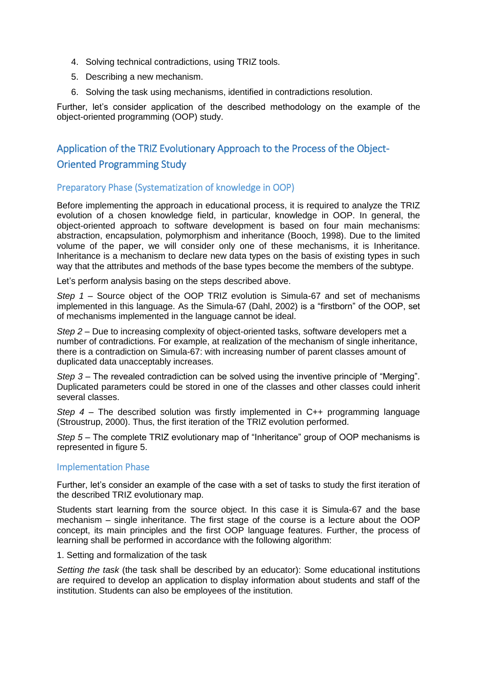- 4. Solving technical contradictions, using TRIZ tools.
- 5. Describing a new mechanism.
- 6. Solving the task using mechanisms, identified in contradictions resolution.

Further, let's consider application of the described methodology on the example of the object-oriented programming (OOP) study.

# Application of the TRIZ Evolutionary Approach to the Process of the Object-Oriented Programming Study

#### Preparatory Phase (Systematization of knowledge in OOP)

Before implementing the approach in educational process, it is required to analyze the TRIZ evolution of a chosen knowledge field, in particular, knowledge in OOP. In general, the object-oriented approach to software development is based on four main mechanisms: abstraction, encapsulation, polymorphism and inheritance (Booch, 1998). Due to the limited volume of the paper, we will consider only one of these mechanisms, it is Inheritance. Inheritance is a mechanism to declare new data types on the basis of existing types in such way that the attributes and methods of the base types become the members of the subtype.

Let's perform analysis basing on the steps described above.

*Step 1* – Source object of the OOP TRIZ evolution is Simula-67 and set of mechanisms implemented in this language. As the Simula-67 (Dahl, 2002) is a "firstborn" of the OOP, set of mechanisms implemented in the language cannot be ideal.

*Step 2* – Due to increasing complexity of object-oriented tasks, software developers met a number of contradictions. For example, at realization of the mechanism of single inheritance, there is a contradiction on Simula-67: with increasing number of parent classes amount of duplicated data unacceptably increases.

*Step 3* – The revealed contradiction can be solved using the inventive principle of "Merging". Duplicated parameters could be stored in one of the classes and other classes could inherit several classes.

*Step 4* – The described solution was firstly implemented in C++ programming language (Stroustrup, 2000). Thus, the first iteration of the TRIZ evolution performed.

*Step 5* – The complete TRIZ evolutionary map of "Inheritance" group of OOP mechanisms is represented in figure 5.

#### Implementation Phase

Further, let's consider an example of the case with a set of tasks to study the first iteration of the described TRIZ evolutionary map.

Students start learning from the source object. In this case it is Simula-67 and the base mechanism – single inheritance. The first stage of the course is a lecture about the OOP concept, its main principles and the first OOP language features. Further, the process of learning shall be performed in accordance with the following algorithm:

#### 1. Setting and formalization of the task

*Setting the task* (the task shall be described by an educator): Some educational institutions are required to develop an application to display information about students and staff of the institution. Students can also be employees of the institution.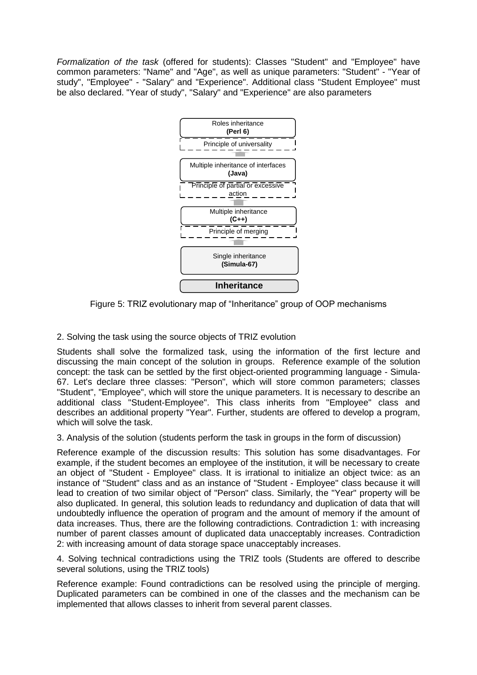*Formalization of the task* (offered for students): Classes "Student" and "Employee" have common parameters: "Name" and "Age", as well as unique parameters: "Student" - "Year of study", "Employee" - "Salary" and "Experience". Additional class "Student Employee" must be also declared. "Year of study", "Salary" and "Experience" are also parameters



Figure 5: TRIZ evolutionary map of "Inheritance" group of OOP mechanisms

2. Solving the task using the source objects of TRIZ evolution

Students shall solve the formalized task, using the information of the first lecture and discussing the main concept of the solution in groups. Reference example of the solution concept: the task can be settled by the first object-oriented programming language - Simula-67. Let's declare three classes: "Person", which will store common parameters; classes "Student", "Employee", which will store the unique parameters. It is necessary to describe an additional class "Student-Employee". This class inherits from "Employee" class and describes an additional property "Year". Further, students are offered to develop a program, which will solve the task.

3. Analysis of the solution (students perform the task in groups in the form of discussion)

Reference example of the discussion results: This solution has some disadvantages. For example, if the student becomes an employee of the institution, it will be necessary to create an object of "Student - Employee" class. It is irrational to initialize an object twice: as an instance of "Student" class and as an instance of "Student - Employee" class because it will lead to creation of two similar object of "Person" class. Similarly, the "Year" property will be also duplicated. In general, this solution leads to redundancy and duplication of data that will undoubtedly influence the operation of program and the amount of memory if the amount of data increases. Thus, there are the following contradictions. Contradiction 1: with increasing number of parent classes amount of duplicated data unacceptably increases. Contradiction 2: with increasing amount of data storage space unacceptably increases.

4. Solving technical contradictions using the TRIZ tools (Students are offered to describe several solutions, using the TRIZ tools)

Reference example: Found contradictions can be resolved using the principle of merging. Duplicated parameters can be combined in one of the classes and the mechanism can be implemented that allows classes to inherit from several parent classes.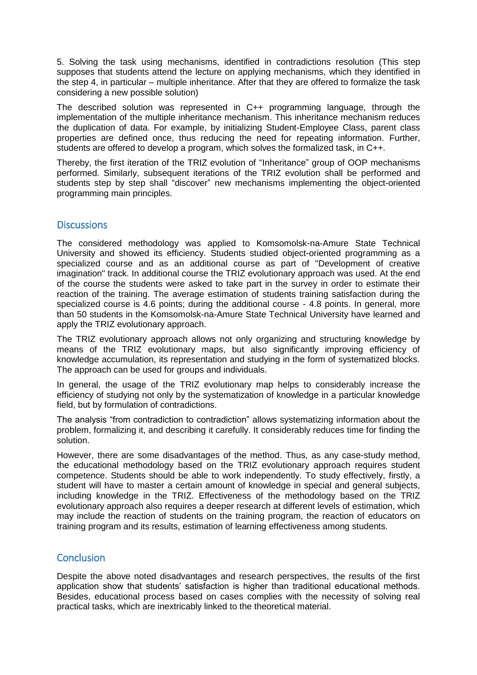5. Solving the task using mechanisms, identified in contradictions resolution (This step supposes that students attend the lecture on applying mechanisms, which they identified in the step 4, in particular – multiple inheritance. After that they are offered to formalize the task considering a new possible solution)

The described solution was represented in C++ programming language, through the implementation of the multiple inheritance mechanism. This inheritance mechanism reduces the duplication of data. For example, by initializing Student-Employee Class, parent class properties are defined once, thus reducing the need for repeating information. Further, students are offered to develop a program, which solves the formalized task, in C++.

Thereby, the first iteration of the TRIZ evolution of "Inheritance" group of OOP mechanisms performed. Similarly, subsequent iterations of the TRIZ evolution shall be performed and students step by step shall "discover" new mechanisms implementing the object-oriented programming main principles.

## **Discussions**

The considered methodology was applied to Komsomolsk-na-Amure State Technical University and showed its efficiency. Students studied object-oriented programming as a specialized course and as an additional course as part of "Development of creative imagination" track. In additional course the TRIZ evolutionary approach was used. At the end of the course the students were asked to take part in the survey in order to estimate their reaction of the training. The average estimation of students training satisfaction during the specialized course is 4.6 points; during the additional course - 4.8 points. In general, more than 50 students in the Komsomolsk-na-Amure State Technical University have learned and apply the TRIZ evolutionary approach.

The TRIZ evolutionary approach allows not only organizing and structuring knowledge by means of the TRIZ evolutionary maps, but also significantly improving efficiency of knowledge accumulation, its representation and studying in the form of systematized blocks. The approach can be used for groups and individuals.

In general, the usage of the TRIZ evolutionary map helps to considerably increase the efficiency of studying not only by the systematization of knowledge in a particular knowledge field, but by formulation of contradictions.

The analysis "from contradiction to contradiction" allows systematizing information about the problem, formalizing it, and describing it carefully. It considerably reduces time for finding the solution.

However, there are some disadvantages of the method. Thus, as any case-study method, the educational methodology based on the TRIZ evolutionary approach requires student competence. Students should be able to work independently. To study effectively, firstly, a student will have to master a certain amount of knowledge in special and general subjects, including knowledge in the TRIZ. Effectiveness of the methodology based on the TRIZ evolutionary approach also requires a deeper research at different levels of estimation, which may include the reaction of students on the training program, the reaction of educators on training program and its results, estimation of learning effectiveness among students.

## **Conclusion**

Despite the above noted disadvantages and research perspectives, the results of the first application show that students' satisfaction is higher than traditional educational methods. Besides, educational process based on cases complies with the necessity of solving real practical tasks, which are inextricably linked to the theoretical material.